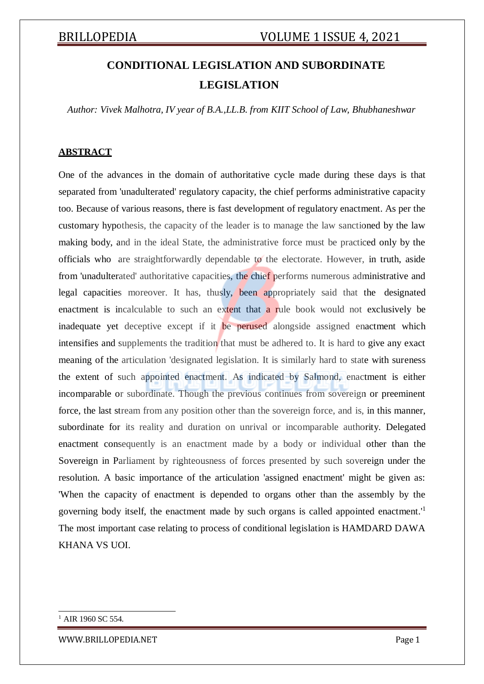# **CONDITIONAL LEGISLATION AND SUBORDINATE LEGISLATION**

*Author: Vivek Malhotra, IV year of B.A.,LL.B. from KIIT School of Law, Bhubhaneshwar*

### **ABSTRACT**

One of the advances in the domain of authoritative cycle made during these days is that separated from 'unadulterated' regulatory capacity, the chief performs administrative capacity too. Because of various reasons, there is fast development of regulatory enactment. As per the customary hypothesis, the capacity of the leader is to manage the law sanctioned by the law making body, and in the ideal State, the administrative force must be practiced only by the officials who are straightforwardly dependable to the electorate. However, in truth, aside from 'unadulterated' authoritative capacities, the chief performs numerous administrative and legal capacities moreover. It has, thusly, been appropriately said that the designated enactment is incalculable to such an extent that a rule book would not exclusively be inadequate yet deceptive except if it be perused alongside assigned enactment which intensifies and supplements the tradition that must be adhered to. It is hard to give any exact meaning of the articulation 'designated legislation. It is similarly hard to state with sureness the extent of such appointed enactment. As indicated by Salmond, enactment is either incomparable or subordinate. Though the previous continues from sovereign or preeminent force, the last stream from any position other than the sovereign force, and is, in this manner, subordinate for its reality and duration on unrival or incomparable authority. Delegated enactment consequently is an enactment made by a body or individual other than the Sovereign in Parliament by righteousness of forces presented by such sovereign under the resolution. A basic importance of the articulation 'assigned enactment' might be given as: 'When the capacity of enactment is depended to organs other than the assembly by the governing body itself, the enactment made by such organs is called appointed enactment.'<sup>1</sup> The most important case relating to process of conditional legislation is HAMDARD DAWA KHANA VS UOI.

AIR 1960 SC 554

[WWW.BRILLOPEDIA.NET](http://www.brillopedia.net/) Page 1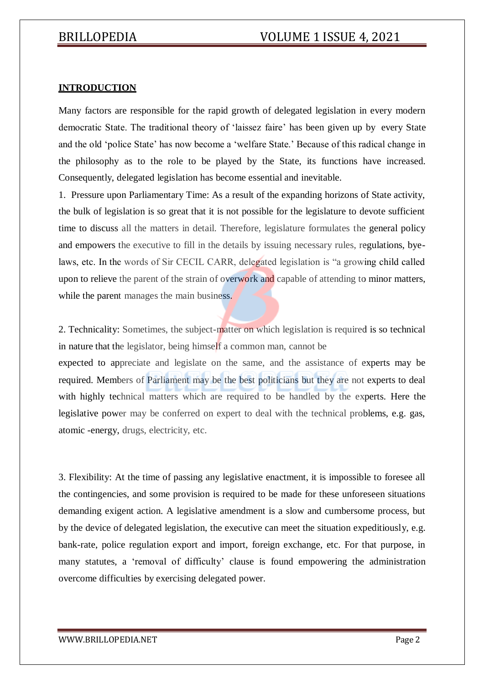### **INTRODUCTION**

Many factors are responsible for the rapid growth of delegated legislation in every modern democratic State. The traditional theory of 'laissez faire' has been given up by every State and the old 'police State' has now become a 'welfare State.' Because of this radical change in the philosophy as to the role to be played by the State, its functions have increased. Consequently, delegated legislation has become essential and inevitable.

1. Pressure upon Parliamentary Time: As a result of the expanding horizons of State activity, the bulk of legislation is so great that it is not possible for the legislature to devote sufficient time to discuss all the matters in detail. Therefore, legislature formulates the general policy and empowers the executive to fill in the details by issuing necessary rules, regulations, byelaws, etc. In the words of Sir CECIL CARR, delegated legislation is "a growing child called upon to relieve the parent of the strain of overwork and capable of attending to minor matters, while the parent manages the main business.

2. Technicality: Sometimes, the subject-matter on which legislation is required is so technical in nature that the legislator, being himself a common man, cannot be

expected to appreciate and legislate on the same, and the assistance of experts may be required. Members of Parliament may be the best politicians but they are not experts to deal with highly technical matters which are required to be handled by the experts. Here the legislative power may be conferred on expert to deal with the technical problems, e.g. gas, atomic -energy, drugs, electricity, etc.

3. Flexibility: At the time of passing any legislative enactment, it is impossible to foresee all the contingencies, and some provision is required to be made for these unforeseen situations demanding exigent action. A legislative amendment is a slow and cumbersome process, but by the device of delegated legislation, the executive can meet the situation expeditiously, e.g. bank-rate, police regulation export and import, foreign exchange, etc. For that purpose, in many statutes, a 'removal of difficulty' clause is found empowering the administration overcome difficulties by exercising delegated power.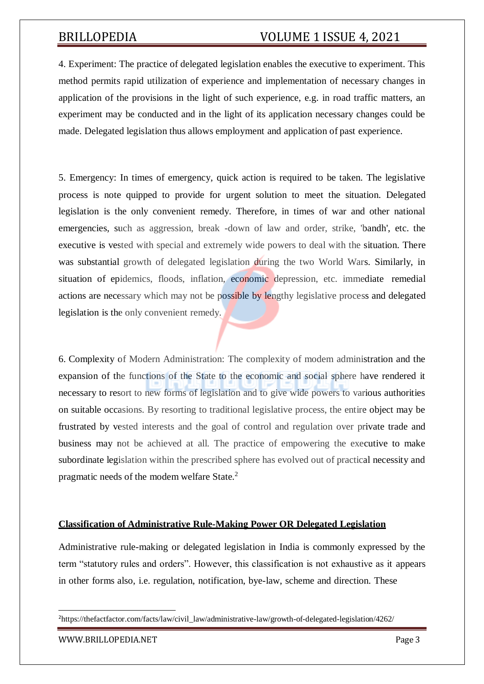4. Experiment: The practice of delegated legislation enables the executive to experiment. This method permits rapid utilization of experience and implementation of necessary changes in application of the provisions in the light of such experience, e.g. in road traffic matters, an experiment may be conducted and in the light of its application necessary changes could be made. Delegated legislation thus allows employment and application of past experience.

5. Emergency: In times of emergency, quick action is required to be taken. The legislative process is note quipped to provide for urgent solution to meet the situation. Delegated legislation is the only convenient remedy. Therefore, in times of war and other national emergencies, such as aggression, break -down of law and order, strike, 'bandh', etc. the executive is vested with special and extremely wide powers to deal with the situation. There was substantial growth of delegated legislation during the two World Wars. Similarly, in situation of epidemics, floods, inflation, economic depression, etc. immediate remedial actions are necessary which may not be possible by lengthy legislative process and delegated legislation is the only convenient remedy.

6. Complexity of Modern Administration: The complexity of modem administration and the expansion of the functions of the State to the economic and social sphere have rendered it necessary to resort to new forms of legislation and to give wide powers to various authorities on suitable occasions. By resorting to traditional legislative process, the entire object may be frustrated by vested interests and the goal of control and regulation over private trade and business may not be achieved at all. The practice of empowering the executive to make subordinate legislation within the prescribed sphere has evolved out of practical necessity and pragmatic needs of the modem welfare State.<sup>2</sup>

### **Classification of Administrative Rule-Making Power OR Delegated Legislation**

Administrative rule-making or delegated legislation in India is commonly expressed by the term "statutory rules and orders". However, this classification is not exhaustive as it appears in other forms also, i.e. regulation, notification, bye-law, scheme and direction. These

<sup>&</sup>lt;sup>2</sup>https://thefactfactor.com/facts/law/civil\_law/administrative-law/growth-of-delegated-legislation/4262/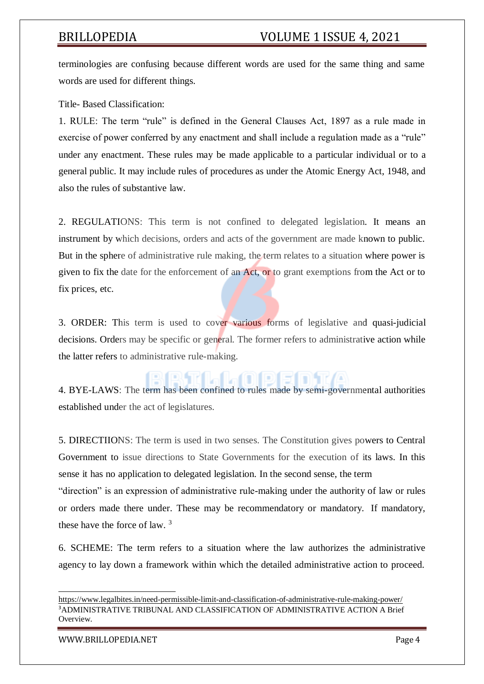terminologies are confusing because different words are used for the same thing and same words are used for different things.

Title- Based Classification:

1. RULE: The term "rule" is defined in the General Clauses Act, 1897 as a rule made in exercise of power conferred by any enactment and shall include a regulation made as a "rule" under any enactment. These rules may be made applicable to a particular individual or to a general public. It may include rules of procedures as under the Atomic Energy Act, 1948, and also the rules of substantive law.

2. REGULATIONS: This term is not confined to delegated legislation. It means an instrument by which decisions, orders and acts of the government are made known to public. But in the sphere of administrative rule making, the term relates to a situation where power is given to fix the date for the enforcement of an Act, or to grant exemptions from the Act or to fix prices, etc.

3. ORDER: This term is used to cover various forms of legislative and quasi-judicial decisions. Orders may be specific or general. The former refers to administrative action while the latter refers to administrative rule-making.

4. BYE-LAWS: The term has been confined to rules made by semi-governmental authorities established under the act of legislatures.

5. DIRECTIIONS: The term is used in two senses. The Constitution gives powers to Central Government to issue directions to State Governments for the execution of its laws. In this sense it has no application to delegated legislation. In the second sense, the term "direction" is an expression of administrative rule-making under the authority of law or rules or orders made there under. These may be recommendatory or mandatory. If mandatory, these have the force of law. <sup>3</sup>

6. SCHEME: The term refers to a situation where the law authorizes the administrative agency to lay down a framework within which the detailed administrative action to proceed.

https:/[/www.legalbites.in/need-permissible-limit-and-classification-of-administrative-rule-making-power/](http://www.legalbites.in/need-permissible-limit-and-classification-of-administrative-rule-making-power/) <sup>3</sup>ADMINISTRATIVE TRIBUNAL AND CLASSIFICATION OF ADMINISTRATIVE ACTION A Brief **Overview** 

[WWW.BRILLOPEDIA.NET](http://www.brillopedia.net/) Page 4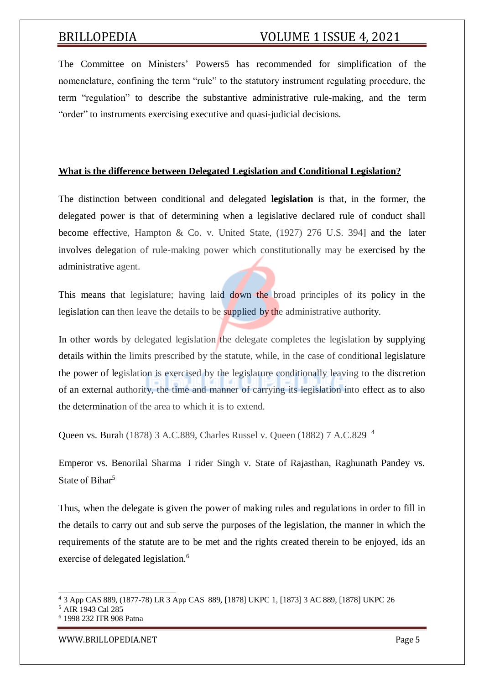The Committee on Ministers' Powers5 has recommended for simplification of the nomenclature, confining the term "rule" to the statutory instrument regulating procedure, the term "regulation" to describe the substantive administrative rule-making, and the term "order" to instruments exercising executive and quasi-judicial decisions.

### **What is the difference between Delegated Legislation and Conditional Legislation?**

The distinction between conditional and delegated **legislation** is that, in the former, the delegated power is that of determining when a legislative declared rule of conduct shall become effective, Hampton & Co. v. United State, (1927) 276 U.S. 394] and the later involves delegation of rule-making power which constitutionally may be exercised by the administrative agent.

This means that legislature; having laid down the broad principles of its policy in the legislation can then leave the details to be supplied by the administrative authority.

In other words by delegated legislation the delegate completes the legislation by supplying details within the limits prescribed by the statute, while, in the case of conditional legislature the power of legislation is exercised by the legislature conditionally leaving to the discretion of an external authority, the time and manner of carrying its legislation into effect as to also the determination of the area to which it is to extend.

Queen vs. Burah (1878) 3 A.C.889, Charles Russel v. Queen (1882) 7 A.C.829 <sup>4</sup>

Emperor vs. Benorilal Sharma I rider Singh v. State of Rajasthan, Raghunath Pandey vs. State of Bihar<sup>5</sup>

Thus, when the delegate is given the power of making rules and regulations in order to fill in the details to carry out and sub serve the purposes of the legislation, the manner in which the requirements of the statute are to be met and the rights created therein to be enjoyed, ids an exercise of delegated legislation.<sup>6</sup>

<sup>4</sup> 3 App CAS 889, (1877-78) LR 3 App CAS 889, [1878] UKPC 1, [1873] 3 AC 889, [1878] UKPC 26

<sup>5</sup> AIR 1943 Cal 285

<sup>6</sup> 1998 232 ITR 908 Patna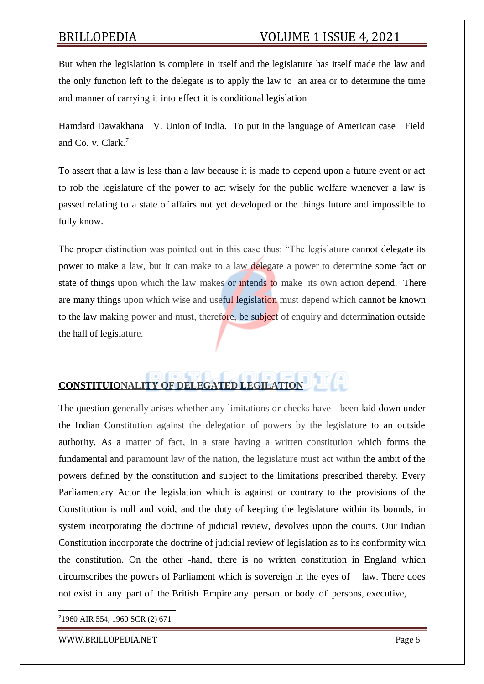But when the legislation is complete in itself and the legislature has itself made the law and the only function left to the delegate is to apply the law to an area or to determine the time and manner of carrying it into effect it is conditional legislation

Hamdard Dawakhana V. Union of India. To put in the language of American case Field and Co. v. Clark.<sup>7</sup>

To assert that a law is less than a law because it is made to depend upon a future event or act to rob the legislature of the power to act wisely for the public welfare whenever a law is passed relating to a state of affairs not yet developed or the things future and impossible to fully know.

The proper distinction was pointed out in this case thus: "The legislature cannot delegate its power to make a law, but it can make to a law delegate a power to determine some fact or state of things upon which the law makes or intends to make its own action depend. There are many things upon which wise and useful legislation must depend which cannot be known to the law making power and must, therefore, be subject of enquiry and determination outside the hall of legislature.

## **CONSTITUIONALITY OF DELEGATED LEGILATION**

The question generally arises whether any limitations or checks have - been laid down under the Indian Constitution against the delegation of powers by the legislature to an outside authority. As a matter of fact, in a state having a written constitution which forms the fundamental and paramount law of the nation, the legislature must act within the ambit of the powers defined by the constitution and subject to the limitations prescribed thereby. Every Parliamentary Actor the legislation which is against or contrary to the provisions of the Constitution is null and void, and the duty of keeping the legislature within its bounds, in system incorporating the doctrine of judicial review, devolves upon the courts. Our Indian Constitution incorporate the doctrine of judicial review of legislation as to its conformity with the constitution. On the other -hand, there is no written constitution in England which circumscribes the powers of Parliament which is sovereign in the eyes of law. There does not exist in any part of the British Empire any person or body of persons, executive,

<sup>7</sup>1960 AIR 554, 1960 SCR (2) 671

[WWW.BRILLOPEDIA.NET](http://www.brillopedia.net/) Page 6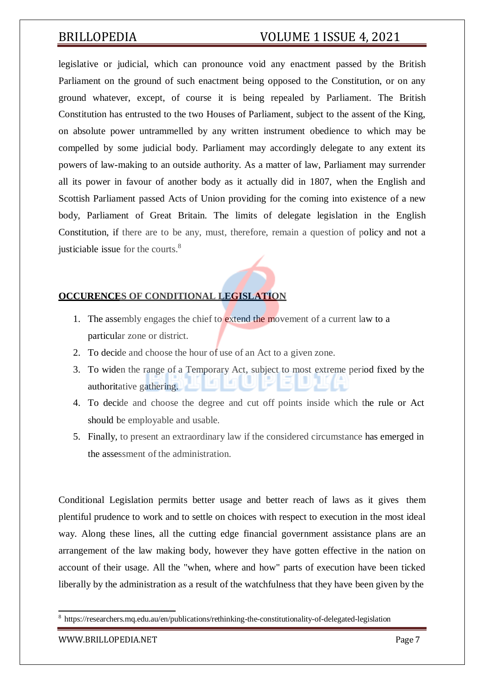legislative or judicial, which can pronounce void any enactment passed by the British Parliament on the ground of such enactment being opposed to the Constitution, or on any ground whatever, except, of course it is being repealed by Parliament. The British Constitution has entrusted to the two Houses of Parliament, subject to the assent of the King, on absolute power untrammelled by any written instrument obedience to which may be compelled by some judicial body. Parliament may accordingly delegate to any extent its powers of law-making to an outside authority. As a matter of law, Parliament may surrender all its power in favour of another body as it actually did in 1807, when the English and Scottish Parliament passed Acts of Union providing for the coming into existence of a new body, Parliament of Great Britain. The limits of delegate legislation in the English Constitution, if there are to be any, must, therefore, remain a question of policy and not a justiciable issue for the courts.<sup>8</sup>

### **OCCURENCES OF CONDITIONAL LEGISLATION**

- 1. The assembly engages the chief to **extend the movement** of a current law to a particular zone or district.
- 2. To decide and choose the hour of use of an Act to a given zone.
- 3. To widen the range of a Temporary Act, subject to most extreme period fixed by the authoritative gathering.
- 4. To decide and choose the degree and cut off points inside which the rule or Act should be employable and usable.
- 5. Finally, to present an extraordinary law if the considered circumstance has emerged in the assessment of the administration.

Conditional Legislation permits better usage and better reach of laws as it gives them plentiful prudence to work and to settle on choices with respect to execution in the most ideal way. Along these lines, all the cutting edge financial government assistance plans are an arrangement of the law making body, however they have gotten effective in the nation on account of their usage. All the "when, where and how" parts of execution have been ticked liberally by the administration as a result of the watchfulness that they have been given by the

<sup>8</sup> https://researchers.mq.edu.au/en/publications/rethinking-the-constitutionality-of-delegated-legislation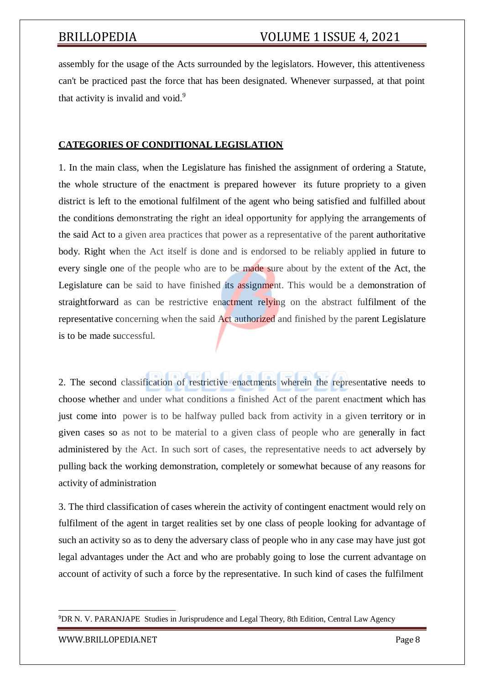assembly for the usage of the Acts surrounded by the legislators. However, this attentiveness can't be practiced past the force that has been designated. Whenever surpassed, at that point that activity is invalid and void.<sup>9</sup>

### **CATEGORIES OF CONDITIONAL LEGISLATION**

1. In the main class, when the Legislature has finished the assignment of ordering a Statute, the whole structure of the enactment is prepared however its future propriety to a given district is left to the emotional fulfilment of the agent who being satisfied and fulfilled about the conditions demonstrating the right an ideal opportunity for applying the arrangements of the said Act to a given area practices that power as a representative of the parent authoritative body. Right when the Act itself is done and is endorsed to be reliably applied in future to every single one of the people who are to be made sure about by the extent of the Act, the Legislature can be said to have finished its assignment. This would be a demonstration of straightforward as can be restrictive enactment relying on the abstract fulfilment of the representative concerning when the said Act authorized and finished by the parent Legislature is to be made successful.

2. The second classification of restrictive enactments wherein the representative needs to choose whether and under what conditions a finished Act of the parent enactment which has just come into power is to be halfway pulled back from activity in a given territory or in given cases so as not to be material to a given class of people who are generally in fact administered by the Act. In such sort of cases, the representative needs to act adversely by pulling back the working demonstration, completely or somewhat because of any reasons for activity of administration

3. The third classification of cases wherein the activity of contingent enactment would rely on fulfilment of the agent in target realities set by one class of people looking for advantage of such an activity so as to deny the adversary class of people who in any case may have just got legal advantages under the Act and who are probably going to lose the current advantage on account of activity of such a force by the representative. In such kind of cases the fulfilment

<sup>&</sup>lt;sup>9</sup>DR N. V. PARANJAPE Studies in Jurisprudence and Legal Theory, 8th Edition, Central Law Agency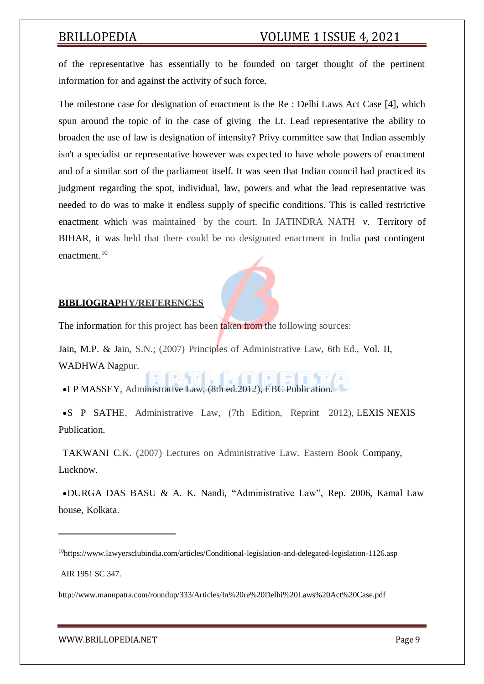of the representative has essentially to be founded on target thought of the pertinent information for and against the activity of such force.

The milestone case for designation of enactment is the Re : Delhi Laws Act Case [4], which spun around the topic of in the case of giving the Lt. Lead representative the ability to broaden the use of law is designation of intensity? Privy committee saw that Indian assembly isn't a specialist or representative however was expected to have whole powers of enactment and of a similar sort of the parliament itself. It was seen that Indian council had practiced its judgment regarding the spot, individual, law, powers and what the lead representative was needed to do was to make it endless supply of specific conditions. This is called restrictive enactment which was maintained by the court. In JATINDRA NATH v. Territory of BIHAR, it was held that there could be no designated enactment in India past contingent enactment.<sup>10</sup>

### **BIBLIOGRAPHY/REFERENCES**

The information for this project has been taken from the following sources:

Jain, M.P. & Jain, S.N.; (2007) Principles of Administrative Law, 6th Ed., Vol. II, WADHWA Nagpur.

I P MASSEY, Administrative Law, (8th ed.2012), EBC Publication.

S P SATHE, Administrative Law, (7th Edition, Reprint 2012), LEXIS NEXIS Publication.

TAKWANI C.K. (2007) Lectures on Administrative Law. Eastern Book Company, Lucknow.

DURGA DAS BASU & A. K. Nandi, "Administrative Law", Rep. 2006, Kamal Law house, Kolkata.

<sup>10</sup>https:/[/www.lawyersclubindia.com/articles/Conditional-legislation-and-delegated-legislation-1126.asp](http://www.lawyersclubindia.com/articles/Conditional-legislation-and-delegated-legislation-1126.asp)

AIR 1951 SC 347.

<http://www.manupatra.com/roundup/333/Articles/In%20re%20Delhi%20Laws%20Act%20Case.pdf>